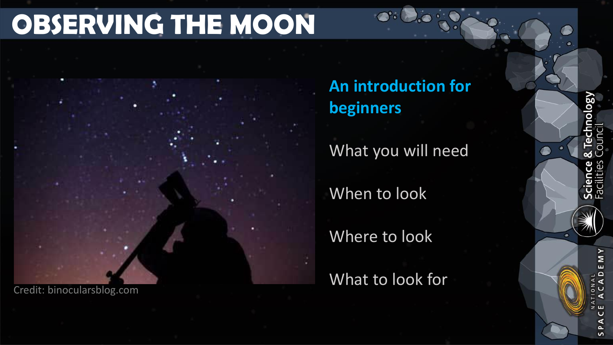### **OBSERVING THE MOON**

Credit: binocularsblog.com

**An introduction for beginners**

What you will need

When to look

Where to look

What to look for

Σ

 $\sim$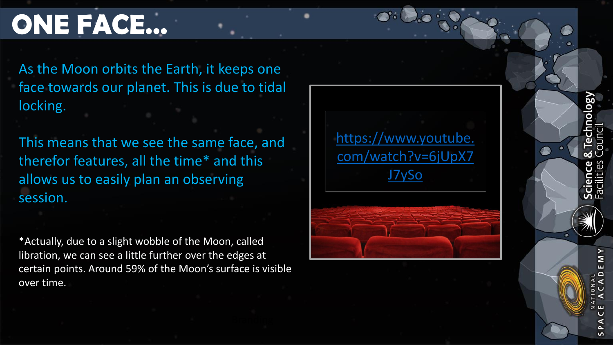### **ONE FACE…**

As the Moon orbits the Earth, it keeps one face towards our planet. This is due to tidal locking.

This means that we see the same face, and therefor features, all the time\* and this allows us to easily plan an observing session.

\*Actually, due to a slight wobble of the Moon, called libration, we can see a little further over the edges at certain points. Around 59% of the Moon's surface is visible over time.





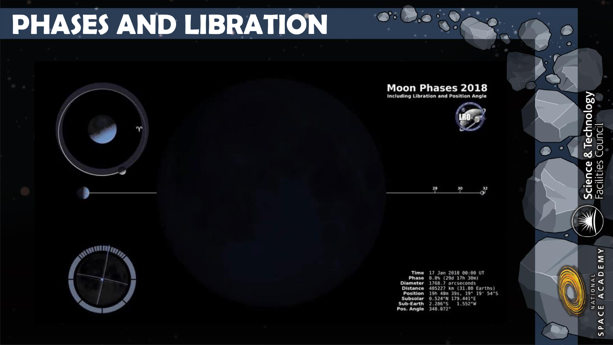### **PHASES AND LIBRATION**

#### **Moon Phases 2018**

**Including Libration and Position Angle** 





Time 17 Jan 2018 00:00 UT Phase 8.8% (29d 17h 38m) Diameter 1768.7 arcseconds Distance 405227 km (31.80 Earths) Position 19h 48m 39s, 19° 19' 54"S Subsolar 0.524°N 179.441°E Sub-Earth 2.286°S 1.552°W Pos. Angle 348.872°

& Technology Science &<br>Facilities

٠

 $\bullet$ 

£

**SALUARITIPE** 

≻ Σ ш  $\frac{1}{4}$   $\frac{1}{4}$  $\frac{2}{3}$ **C** ∢ ∢  $z$   $\mu$  $\cup$ ⋖  $\sim$  $\sim$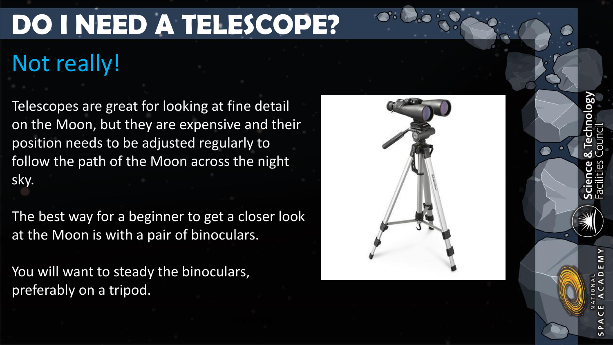# **DO I NEED A TELESCOPE?**

## Not really!

Telescopes are great for looking at fine detail on the Moon, but they are expensive and their position needs to be adjusted regularly to follow the path of the Moon across the night sky.

The best way for a beginner to get a closer look at the Moon is with a pair of binoculars.

You will want to steady the binoculars, preferably on a tripod.



Λ8ο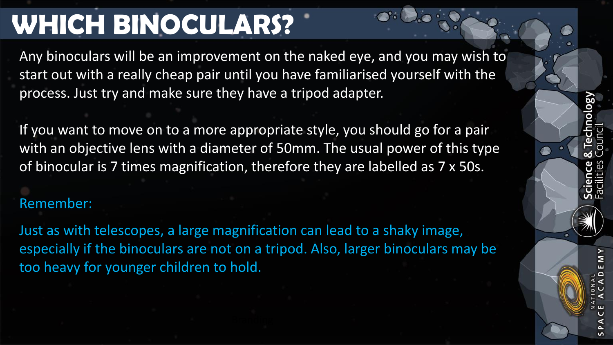### **WHICH BINOCULARS?**

Any binoculars will be an improvement on the naked eye, and you may wish to start out with a really cheap pair until you have familiarised yourself with the process. Just try and make sure they have a tripod adapter.

If you want to move on to a more appropriate style, you should go for a pair with an objective lens with a diameter of 50mm. The usual power of this type of binocular is 7 times magnification, therefore they are labelled as 7 x 50s.

### Remember:

Just as with telescopes, a large magnification can lead to a shaky image, especially if the binoculars are not on a tripod. Also, larger binoculars may be too heavy for younger children to hold.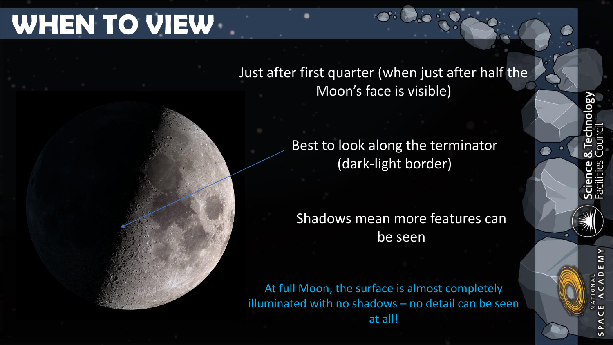### **WHEN TO VIEW**

#### Just after first quarter (when just after half the Moon's face is visible)

Best to look along the terminator (dark-light border)

Shadows mean more features can be seen

At full Moon, the surface is almost completely illuminated with no shadows – no detail can be seen at all!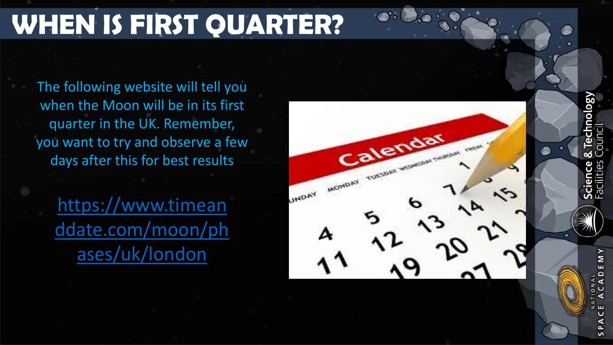### **WHEN IS FIRST QUARTER?**

The following website will tell you when the Moon will be in its first quarter in the UK. Remember, you want to try and observe a few days after this for best results

https://www.timean [ddate.com/moon/ph](https://www.timeanddate.com/moon/phases/uk/london) ases/uk/london



**ASolo** Sə Scie<br>Faci

Σ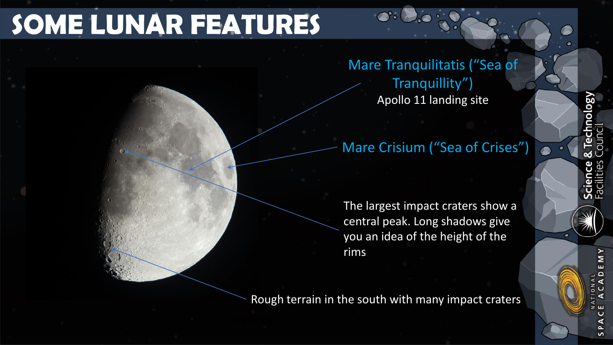### **SOME LUNAR FEATURES**

Mare Tranquilitatis ("Sea of Tranquillity") Apollo 11 landing site

### Mare Crisium ("Sea of Crises")

The largest impact craters show a central peak. Long shadows give you an idea of the height of the rims

Rough terrain in the south with many impact craters

Σ

 $\mathbf{v}$